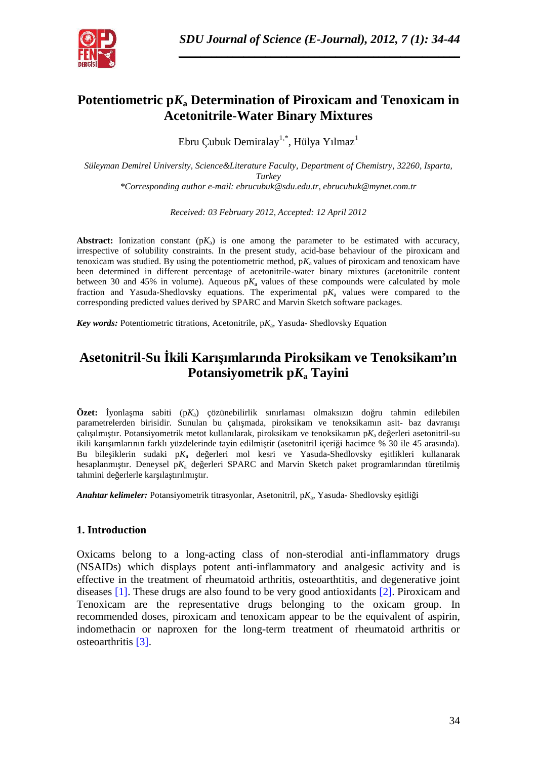

# **Potentiometric p***K***a Determination of Piroxicam and Tenoxicam in Acetonitrile-Water Binary Mixtures**

Ebru Çubuk Demiralay $^{1,*}$ , Hülya Yılmaz $^1$ 

*Süleyman Demirel University, Science&Literature Faculty, Department of Chemistry, 32260, Isparta, Turkey \*Corresponding author e-mail: ebrucubuk@sdu.edu.tr, ebrucubuk@mynet.com.tr*

*Received: 03 February 2012, Accepted: 12 April 2012*

**Abstract:** Ionization constant  $(pK_a)$  is one among the parameter to be estimated with accuracy, irrespective of solubility constraints. In the present study, acid-base behaviour of the piroxicam and tenoxicam was studied. By using the potentiometric method,  $pK_a$  values of piroxicam and tenoxicam have been determined in different percentage of acetonitrile-water binary mixtures (acetonitrile content between 30 and 45% in volume). Aqueous  $pK_a$  values of these compounds were calculated by mole fraction and Yasuda-Shedlovsky equations. The experimental  $pK_a$  values were compared to the corresponding predicted values derived by SPARC and Marvin Sketch software packages.

*Key words:* Potentiometric titrations, Acetonitrile, p*K*<sup>a</sup> , Yasuda- Shedlovsky Equation

# **Asetonitril-Su İkili Karışımlarında Piroksikam ve Tenoksikam'ın Potansiyometrik p***K***<sup>a</sup> Tayini**

**Özet:** yonla ma sabiti  $(pK_a)$  çözünebilirlik sınırlaması olmaksızın do ru tahmin edilebilen parametrelerden birisidir. Sunulan bu çalı mada, piroksikam ve tenoksikamın asit- baz davranı i çalı ilmi tir. Potansiyometrik metot kullanılarak, piroksikam ve tenoksikamın p $K_a$  de erleri asetonitril-su ikili karı ımlarının farklı yüzdelerinde tayin edilmi tir (asetonitril içeri i hacimce % 30 ile 45 arasında). Bu bile-iklerin sudaki p $K_a$  de erleri mol kesri ve Yasuda-Shedlovsky e-itlikleri kullanarak hesaplanmı tır. Deneysel p $K_a$  de erleri SPARC and Marvin Sketch paket programlarından türetilmi tahmini de erlerle kar ıla tırılmı tır.

Anahtar kelimeler: Potansiyometrik titrasyonlar, Asetonitril, pK<sub>a</sub>, Yasuda- Shedlovsky e itli i

#### **1. Introduction**

Oxicams belong to a long-acting class of non-sterodial anti-inflammatory drugs (NSAIDs) which displays potent anti-inflammatory and analgesic activity and is effective in the treatment of rheumatoid arthritis, osteoarthtitis, and degenerative joint diseases [1]. These drugs are also found to be very good antioxidants [2]. Piroxicam and Tenoxicam are the representative drugs belonging to the oxicam group. In recommended doses, piroxicam and tenoxicam appear to be the equivalent of aspirin, indomethacin or naproxen for the long-term treatment of rheumatoid arthritis or osteoarthritis [3].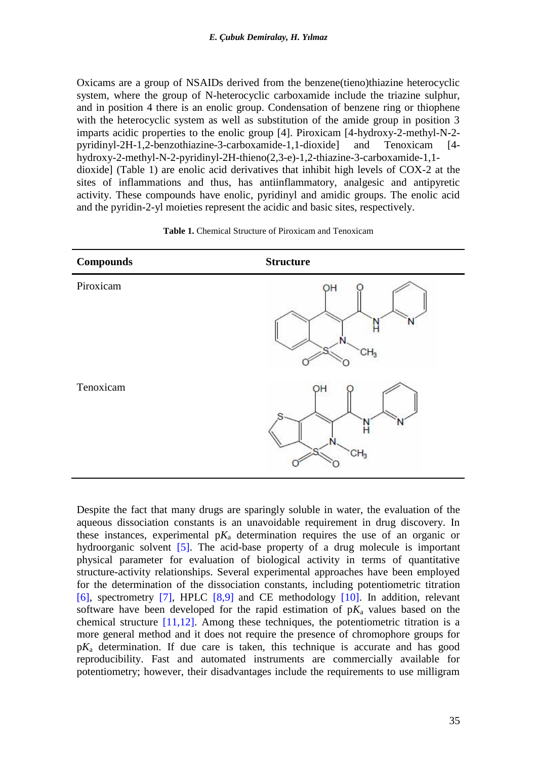Oxicams are a group of NSAIDs derived from the benzene(tieno)thiazine heterocyclic system, where the group of N-heterocyclic carboxamide include the triazine sulphur, and in position 4 there is an enolic group. Condensation of benzene ring or thiophene with the heterocyclic system as well as substitution of the amide group in position 3 imparts acidic properties to the enolic group [4]. Piroxicam [4-hydroxy-2-methyl-N-2 pyridinyl-2H-1,2-benzothiazine-3-carboxamide-1,1-dioxide] and Tenoxicam [4 hydroxy-2-methyl-N-2-pyridinyl-2H-thieno(2,3-e)-1,2-thiazine-3-carboxamide-1,1 dioxide] (Table 1) are enolic acid derivatives that inhibit high levels of COX-2 at the sites of inflammations and thus, has antiinflammatory, analgesic and antipyretic activity. These compounds have enolic, pyridinyl and amidic groups. The enolic acid and the pyridin-2-yl moieties represent the acidic and basic sites, respectively.

| <b>Compounds</b> | <b>Structure</b> |
|------------------|------------------|
| Piroxicam        | OН               |
| Tenoxicam        | ЭH<br>CH3        |

**Table 1.** Chemical Structure of Piroxicam and Tenoxicam

Despite the fact that many drugs are sparingly soluble in water, the evaluation of the aqueous dissociation constants is an unavoidable requirement in drug discovery. In these instances, experimental  $pK_a$  determination requires the use of an organic or hydroorganic solvent [5]. The acid-base property of a drug molecule is important physical parameter for evaluation of biological activity in terms of quantitative structure-activity relationships. Several experimental approaches have been employed for the determination of the dissociation constants, including potentiometric titration [6], spectrometry [7], HPLC  $[8,9]$  and CE methodology  $[10]$ . In addition, relevant software have been developed for the rapid estimation of  $pK_a$  values based on the chemical structure  $[11,12]$ . Among these techniques, the potentiometric titration is a more general method and it does not require the presence of chromophore groups for p*K*a determination. If due care is taken, this technique is accurate and has good reproducibility. Fast and automated instruments are commercially available for potentiometry; however, their disadvantages include the requirements to use milligram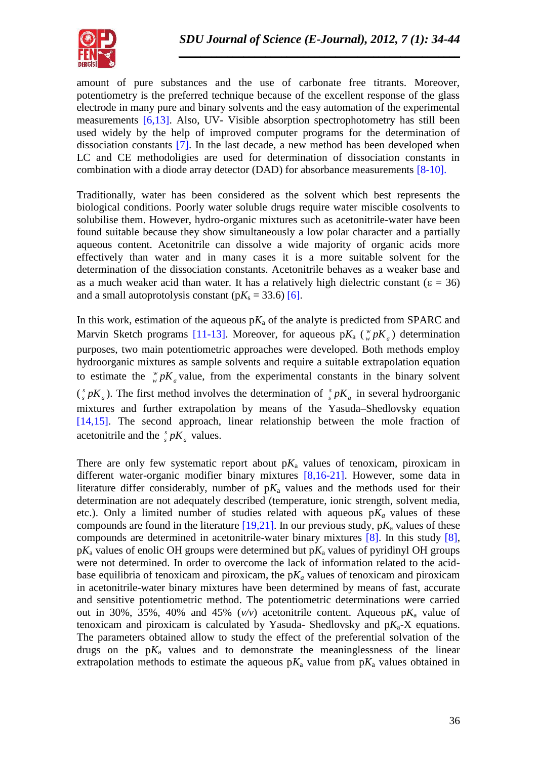

amount of pure substances and the use of carbonate free titrants. Moreover, potentiometry is the preferred technique because of the excellent response of the glass electrode in many pure and binary solvents and the easy automation of the experimental measurements [6,13]. Also, UV- Visible absorption spectrophotometry has still been used widely by the help of improved computer programs for the determination of dissociation constants [7]. In the last decade, a new method has been developed when LC and CE methodoligies are used for determination of dissociation constants in combination with a diode array detector (DAD) for absorbance measurements [8-10].

Traditionally, water has been considered as the solvent which best represents the biological conditions. Poorly water soluble drugs require water miscible cosolvents to solubilise them. However, hydro-organic mixtures such as acetonitrile-water have been found suitable because they show simultaneously a low polar character and a partially aqueous content. Acetonitrile can dissolve a wide majority of organic acids more effectively than water and in many cases it is a more suitable solvent for the determination of the dissociation constants. Acetonitrile behaves as a weaker base and as a much weaker acid than water. It has a relatively high dielectric constant ( $\varepsilon = 36$ ) and a small autoprotolysis constant  $(pK_s = 33.6)$  [6].

In this work, estimation of the aqueous  $pK_a$  of the analyte is predicted from SPARC and Marvin Sketch programs [11-13]. Moreover, for aqueous  $pK_a$  ( $\frac{w}{w}pK_a$ ) determination purposes, two main potentiometric approaches were developed. Both methods employ hydroorganic mixtures as sample solvents and require a suitable extrapolation equation to estimate the  $\frac{w}{w} pK_a$  value, from the experimental constants in the binary solvent  $\binom{s}{s} pK_a$ ). The first method involves the determination of  $\binom{s}{s} pK_a$  in several hydroorganic mixtures and further extrapolation by means of the Yasuda–Shedlovsky equation [14,15]. The second approach, linear relationship between the mole fraction of acetonitrile and the  $\int_{s}^{s} pK_a$  values.

There are only few systematic report about  $pK_a$  values of tenoxicam, piroxicam in different water-organic modifier binary mixtures [8,16-21]. However, some data in literature differ considerably, number of  $pK_a$  values and the methods used for their determination are not adequately described (temperature, ionic strength, solvent media, etc.). Only a limited number of studies related with aqueous  $pK_a$  values of these compounds are found in the literature  $[19,21]$ . In our previous study,  $pK_a$  values of these compounds are determined in acetonitrile-water binary mixtures [8]. In this study [8],  $pK_a$  values of enolic OH groups were determined but  $pK_a$  values of pyridinyl OH groups were not determined. In order to overcome the lack of information related to the acid base equilibria of tenoxicam and piroxicam, the  $pK_a$  values of tenoxicam and piroxicam in acetonitrile-water binary mixtures have been determined by means of fast, accurate and sensitive potentiometric method. The potentiometric determinations were carried out in 30%, 35%, 40% and 45%  $(v/v)$  acetonitrile content. Aqueous  $pK_a$  value of tenoxicam and piroxicam is calculated by Yasuda- Shedlovsky and  $pK_a$ -X equations. The parameters obtained allow to study the effect of the preferential solvation of the drugs on the  $pK_a$  values and to demonstrate the meaninglessness of the linear extrapolation methods to estimate the aqueous  $pK_a$  value from  $pK_a$  values obtained in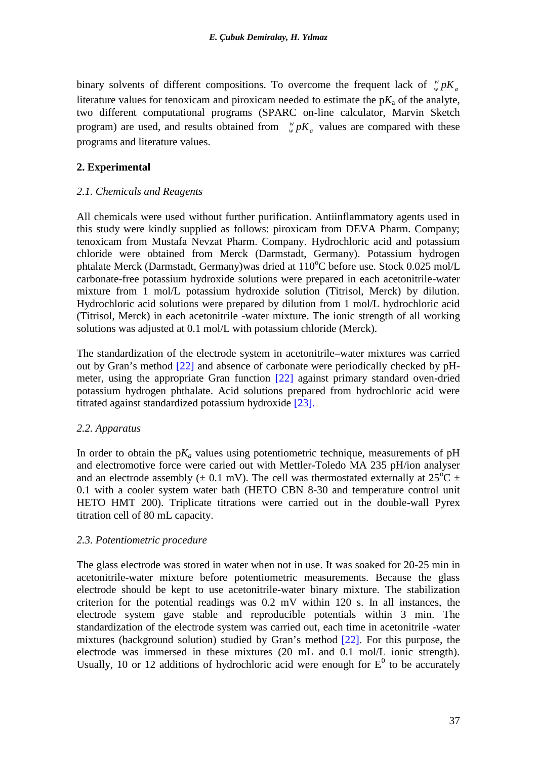binary solvents of different compositions. To overcome the frequent lack of  $\psi_{\nu} pK_{a}$  $w<sub>w</sub>$  *pK*<sub>a</sub> literature values for tenoxicam and piroxicam needed to estimate the  $pK_a$  of the analyte, two different computational programs (SPARC on-line calculator, Marvin Sketch program) are used, and results obtained from  $w^w pK_a$  values are compared with these programs and literature values.

### **2. Experimental**

### *2.1. Chemicals and Reagents*

All chemicals were used without further purification. Antiinflammatory agents used in this study were kindly supplied as follows: piroxicam from DEVA Pharm. Company; tenoxicam from Mustafa Nevzat Pharm. Company. Hydrochloric acid and potassium chloride were obtained from Merck (Darmstadt, Germany). Potassium hydrogen phtalate Merck (Darmstadt, Germany) was dried at  $110^{\circ}$ C before use. Stock 0.025 mol/L carbonate-free potassium hydroxide solutions were prepared in each acetonitrile-water mixture from 1 mol/L potassium hydroxide solution (Titrisol, Merck) by dilution. Hydrochloric acid solutions were prepared by dilution from 1 mol/L hydrochloric acid (Titrisol, Merck) in each acetonitrile -water mixture. The ionic strength of all working solutions was adjusted at 0.1 mol/L with potassium chloride (Merck).

The standardization of the electrode system in acetonitrile–water mixtures was carried out by Gran's method [22] and absence of carbonate were periodically checked by pH meter, using the appropriate Gran function [22] against primary standard oven-dried potassium hydrogen phthalate. Acid solutions prepared from hydrochloric acid were titrated against standardized potassium hydroxide [23].

## *2.2. Apparatus*

In order to obtain the  $pK_a$  values using potentiometric technique, measurements of  $pH$ and electromotive force were caried out with Mettler-Toledo MA 235 pH/ion analyser and an electrode assembly ( $\pm$  0.1 mV). The cell was thermostated externally at 25<sup>o</sup>C  $\pm$ 0.1 with a cooler system water bath (HETO CBN 8-30 and temperature control unit HETO HMT 200). Triplicate titrations were carried out in the double-wall Pyrex titration cell of 80 mL capacity.

#### *2.3. Potentiometric procedure*

The glass electrode was stored in water when not in use. It was soaked for 20-25 min in acetonitrile-water mixture before potentiometric measurements. Because the glass electrode should be kept to use acetonitrile-water binary mixture. The stabilization criterion for the potential readings was 0.2 mV within 120 s. In all instances, the electrode system gave stable and reproducible potentials within 3 min. The standardization of the electrode system was carried out, each time in acetonitrile -water mixtures (background solution) studied by Gran's method [22]. For this purpose, the electrode was immersed in these mixtures (20 mL and 0.1 mol/L ionic strength). Usually, 10 or 12 additions of hydrochloric acid were enough for  $E^0$  to be accurately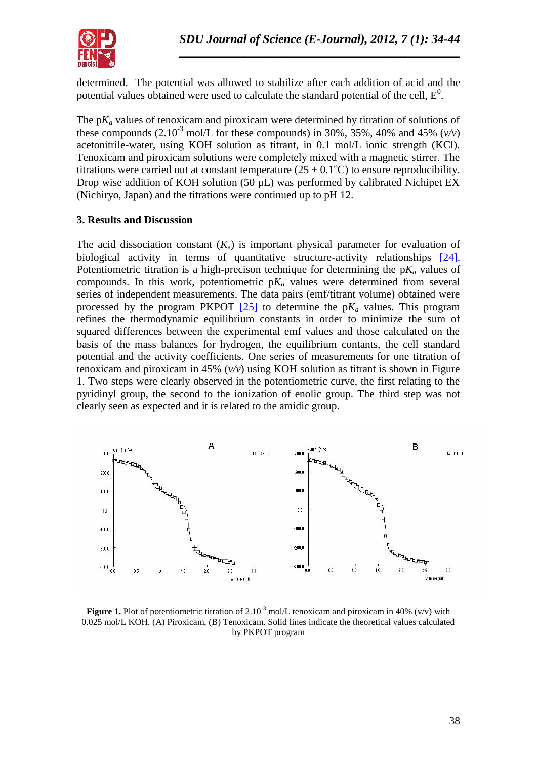

determined. The potential was allowed to stabilize after each addition of acid and the potential values obtained were used to calculate the standard potential of the cell,  $E^0$ .

The  $pK_a$  values of tenoxicam and piroxicam were determined by titration of solutions of these compounds  $(2.10^{-3} \text{ mol/L}$  for these compounds) in 30%, 35%, 40% and 45%  $(v/v)$ acetonitrile-water, using KOH solution as titrant, in 0.1 mol/L ionic strength (KCl). Tenoxicam and piroxicam solutions were completely mixed with a magnetic stirrer. The titrations were carried out at constant temperature ( $25 \pm 0.1^{\circ}$ C) to ensure reproducibility. Drop wise addition of KOH solution (50 μL) was performed by calibrated Nichipet EX (Nichiryo, Japan) and the titrations were continued up to pH 12.

## **3. Results and Discussion**

The acid dissociation constant  $(K_a)$  is important physical parameter for evaluation of biological activity in terms of quantitative structure-activity relationships [24]. Potentiometric titration is a high-precison technique for determining the  $pK_a$  values of compounds. In this work, potentiometric  $pK_a$  values were determined from several series of independent measurements. The data pairs (emf/titrant volume) obtained were processed by the program PKPOT  $[25]$  to determine the  $pK_a$  values. This program refines the thermodynamic equilibrium constants in order to minimize the sum of squared differences between the experimental emf values and those calculated on the basis of the mass balances for hydrogen, the equilibrium contants, the cell standard potential and the activity coefficients. One series of measurements for one titration of tenoxicam and piroxicam in 45% (*v/v*) using KOH solution as titrant is shown in Figure 1. Two steps were clearly observed in the potentiometric curve, the first relating to the pyridinyl group, the second to the ionization of enolic group. The third step was not clearly seen as expected and it is related to the amidic group.



**Figure 1.** Plot of potentiometric titration of 2.10<sup>-3</sup> mol/L tenoxicam and piroxicam in 40% (v/v) with 0.025 mol/L KOH. (A) Piroxicam, (B) Tenoxicam. Solid lines indicate the theoretical values calculated by PKPOT program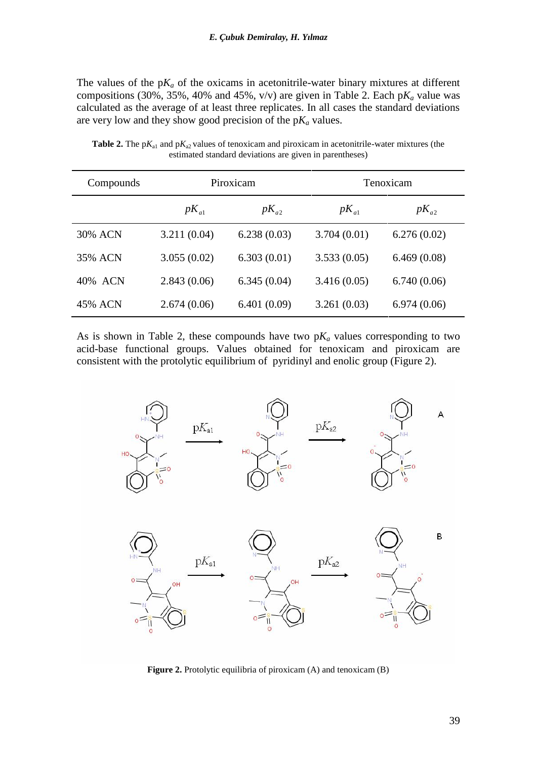The values of the  $pK_a$  of the oxicams in acetonitrile-water binary mixtures at different compositions (30%, 35%, 40% and 45%,  $v/v$ ) are given in Table 2. Each  $pK_a$  value was calculated as the average of at least three replicates. In all cases the standard deviations are very low and they show good precision of the p*Ka* values.

| Compounds | Piroxicam   |             | Tenoxicam   |             |  |
|-----------|-------------|-------------|-------------|-------------|--|
|           | $pK_{a1}$   | $pK_{a2}$   | $pK_{a1}$   | $pK_{a2}$   |  |
| 30% ACN   | 3.211(0.04) | 6.238(0.03) | 3.704(0.01) | 6.276(0.02) |  |
| 35% ACN   | 3.055(0.02) | 6.303(0.01) | 3.533(0.05) | 6.469(0.08) |  |
| 40% ACN   | 2.843(0.06) | 6.345(0.04) | 3.416(0.05) | 6.740(0.06) |  |
| 45% ACN   | 2.674(0.06) | 6.401(0.09) | 3.261(0.03) | 6.974(0.06) |  |

**Table 2.** The  $pK_{a1}$  and  $pK_{a2}$  values of tenoxicam and piroxicam in acetonitrile-water mixtures (the estimated standard deviations are given in parentheses)

As is shown in Table 2, these compounds have two  $pK_a$  values corresponding to two acid-base functional groups. Values obtained for tenoxicam and piroxicam are consistent with the protolytic equilibrium of pyridinyl and enolic group (Figure 2).



**Figure 2.** Protolytic equilibria of piroxicam (A) and tenoxicam (B)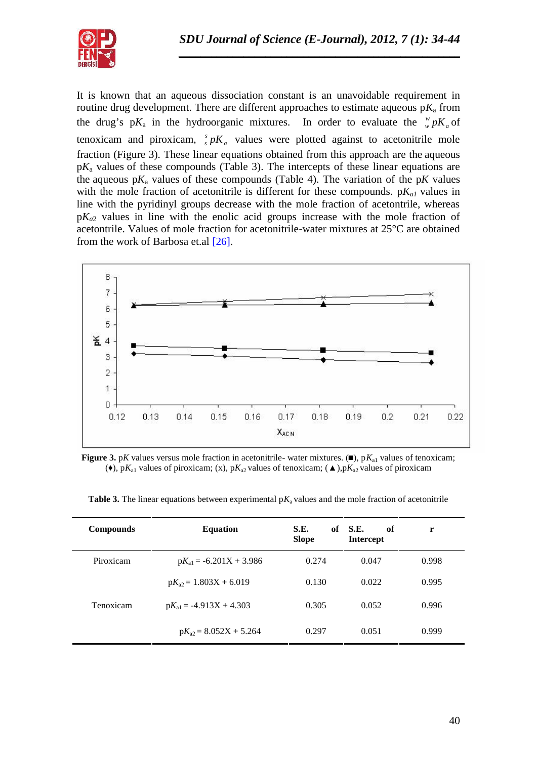

It is known that an aqueous dissociation constant is an unavoidable requirement in routine drug development. There are different approaches to estimate aqueous  $pK_a$  from the drug's  $pK_a$  in the hydroorganic mixtures. In order to evaluate the  $\frac{w}{w} pK_a$  of tenoxicam and piroxicam,  ${}_{s}^{s} pK_{a}$  values were plotted against to acetonitrile mole fraction (Figure 3). These linear equations obtained from this approach are the aqueous p*K*a values of these compounds (Table 3). The intercepts of these linear equations are the aqueous  $pK_a$  values of these compounds (Table 4). The variation of the  $pK$  values with the mole fraction of acetonitrile is different for these compounds.  $pK_{a1}$  values in line with the pyridinyl groups decrease with the mole fraction of acetontrile, whereas  $pK_{a2}$  values in line with the enolic acid groups increase with the mole fraction of acetontrile. Values of mole fraction for acetonitrile-water mixtures at 25°C are obtained from the work of Barbosa et.al [26].



**Figure 3.** p*K* values versus mole fraction in acetonitrile- water mixtures. ( $\rho$ ), p $K_{al}$  values of tenoxicam; ( $\rightarrow$ , p*K*<sub>a1</sub> values of piroxicam; (x), p*K*<sub>a2</sub> values of tenoxicam; ( $\rightarrow$ ), p*K*<sub>a2</sub> values of piroxicam

| <b>Compounds</b> | <b>Equation</b>             | S.E.<br>of<br><b>Slope</b> | <b>S.E.</b><br>of<br><b>Intercept</b> | r     |
|------------------|-----------------------------|----------------------------|---------------------------------------|-------|
| Piroxicam        | $pK_{a1} = -6.201X + 3.986$ | 0.274                      | 0.047                                 | 0.998 |
|                  | $pK_{a2} = 1.803X + 6.019$  | 0.130                      | 0.022                                 | 0.995 |
| Tenoxicam        | $pK_{a1} = -4.913X + 4.303$ | 0.305                      | 0.052                                 | 0.996 |
|                  | $pK_{a2} = 8.052X + 5.264$  | 0.297                      | 0.051                                 | 0.999 |

**Table 3.** The linear equations between experimental  $pK_a$  values and the mole fraction of acetonitrile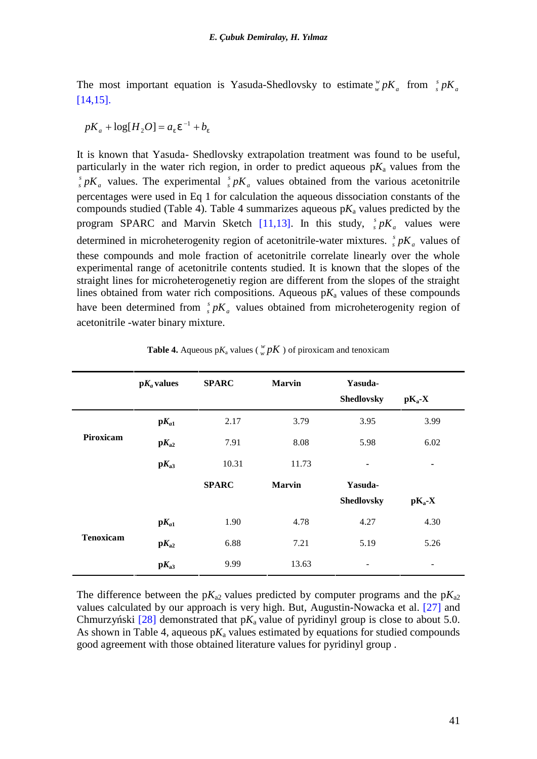The most important equation is Yasuda-Shedlovsky to estimate  $\frac{w}{w} pK_a$  from  $\frac{s}{s} pK_a$  $\int_s^s pK_a$ [14,15].

$$
pK_a + \log[H_2 O] = a_v v^{-1} + b_v
$$

It is known that Yasuda- Shedlovsky extrapolation treatment was found to be useful, particularly in the water rich region, in order to predict aqueous  $pK_a$  values from the  $a$  values. The experiment  $s$ <sub>s</sub>  $pK_a$  values. The experimental  $s$ <sub>s</sub>  $pK_a$  values obtained from the various acetonitrile percentages were used in Eq 1 for calculation the aqueous dissociation constants of the compounds studied (Table 4). Table 4 summarizes aqueous  $pK_a$  values predicted by the program SPARC and Marvin Sketch [11,13]. In this study,  ${}_{s}^{s} pK_{a}$  values were determined in microheterogenity region of acetonitrile-water mixtures.  $\frac{s}{s} pK_a$  values of these compounds and mole fraction of acetonitrile correlate linearly over the whole experimental range of acetonitrile contents studied. It is known that the slopes of the straight lines for microheterogenetiy region are different from the slopes of the straight lines obtained from water rich compositions. Aqueous  $pK_a$  values of these compounds have been determined from  $\int_s^s pK_a$  values obtained from microheterogenity region of acetonitrile -water binary mixture.

|                  | $pK_a$ values               | <b>SPARC</b> | <b>Marvin</b> | Yasuda-<br>Shedlovsky    | $pK_a-X$ |
|------------------|-----------------------------|--------------|---------------|--------------------------|----------|
|                  | $\mathbf{p}K_{a1}$          | 2.17         | 3.79          | 3.95                     | 3.99     |
| Piroxicam        | $pK_{a2}$                   | 7.91         | 8.08          | 5.98                     | 6.02     |
|                  | $\mathbf{p}K_{a3}$          | 10.31        | 11.73         | ٠                        | ٠        |
|                  |                             | <b>SPARC</b> | <b>Marvin</b> | Yasuda-                  |          |
|                  |                             |              |               | <b>Shedlovsky</b>        | $pK_a-X$ |
| <b>Tenoxicam</b> | $\mathbf{p}K_{a1}$          | 1.90         | 4.78          | 4.27                     | 4.30     |
|                  | $\mathbf{p}K_{\mathbf{a}2}$ | 6.88         | 7.21          | 5.19                     | 5.26     |
|                  | $pK_{a3}$                   | 9.99         | 13.63         | $\overline{\phantom{0}}$ | -        |

**Table 4.** Aqueous p $K_a$  values ( $\frac{w}{w}pK$ ) of piroxicam and tenoxicam

The difference between the  $pK_{a2}$  values predicted by computer programs and the  $pK_{a2}$ values calculated by our approach is very high. But, Augustin-Nowacka et al. [27] and Chmurzy ski  $[28]$  demonstrated that p $K_a$  value of pyridinyl group is close to about 5.0. As shown in Table 4, aqueous  $pK_a$  values estimated by equations for studied compounds good agreement with those obtained literature values for pyridinyl group .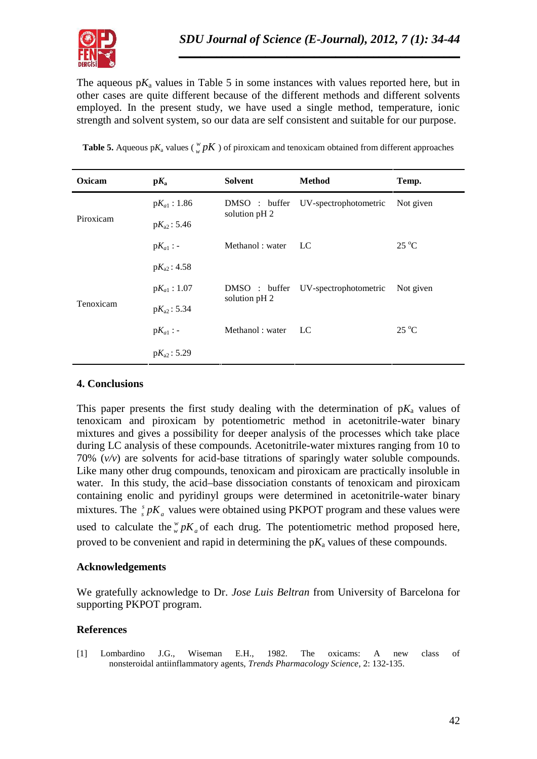

The aqueous  $pK_a$  values in Table 5 in some instances with values reported here, but in other cases are quite different because of the different methods and different solvents employed. In the present study, we have used a single method, temperature, ionic strength and solvent system, so our data are self consistent and suitable for our purpose.

| Oxicam    | $\mathbf{p}K_{\mathbf{a}}$ | Solvent                       | <b>Method</b>         | Temp.          |  |
|-----------|----------------------------|-------------------------------|-----------------------|----------------|--|
|           | $pK_{a1}: 1.86$            | DMSO: buffer                  | UV-spectrophotometric | Not given      |  |
| Piroxicam | $pK_{a2}: 5.46$            | solution pH 2                 |                       |                |  |
|           | $pK_{a1}$ : -              | Methanol: water               | LC                    | $25^{\circ}$ C |  |
|           | $pK_{a2}: 4.58$            |                               |                       |                |  |
|           | $pK_{a1}: 1.07$            | DMSO: buffer<br>solution pH 2 | UV-spectrophotometric | Not given      |  |
| Tenoxicam | $pK_{a2}: 5.34$            |                               |                       |                |  |
|           | $pK_{a1}$ : -              | Methanol: water               | LC                    | $25^{\circ}$ C |  |
|           | $pK_{a2}: 5.29$            |                               |                       |                |  |

**Table 5.** Aqueous p $K_a$  values ( $\frac{w}{w}pK$ ) of piroxicam and tenoxicam obtained from different approaches

#### **4. Conclusions**

This paper presents the first study dealing with the determination of  $pK_a$  values of tenoxicam and piroxicam by potentiometric method in acetonitrile-water binary mixtures and gives a possibility for deeper analysis of the processes which take place during LC analysis of these compounds. Acetonitrile-water mixtures ranging from 10 to 70% (*v/v*) are solvents for acid-base titrations of sparingly water soluble compounds. Like many other drug compounds, tenoxicam and piroxicam are practically insoluble in water. In this study, the acid–base dissociation constants of tenoxicam and piroxicam containing enolic and pyridinyl groups were determined in acetonitrile-water binary mixtures. The  $\int_{s}^{s} pK_a$  values were obtained using PKPOT program and these values were used to calculate the  $w<sub>w</sub> pK<sub>a</sub>$  of each drug. The potentiometric method proposed here, proved to be convenient and rapid in determining the  $pK_a$  values of these compounds.

#### **Acknowledgements**

We gratefully acknowledge to Dr. *Jose Luis Beltran* from University of Barcelona for supporting PKPOT program.

## **References**

[1] Lombardino J.G., Wiseman E.H., 1982. The oxicams: A new class of nonsteroidal antiinflammatory agents, *Trends Pharmacology Science*, 2: 132-135.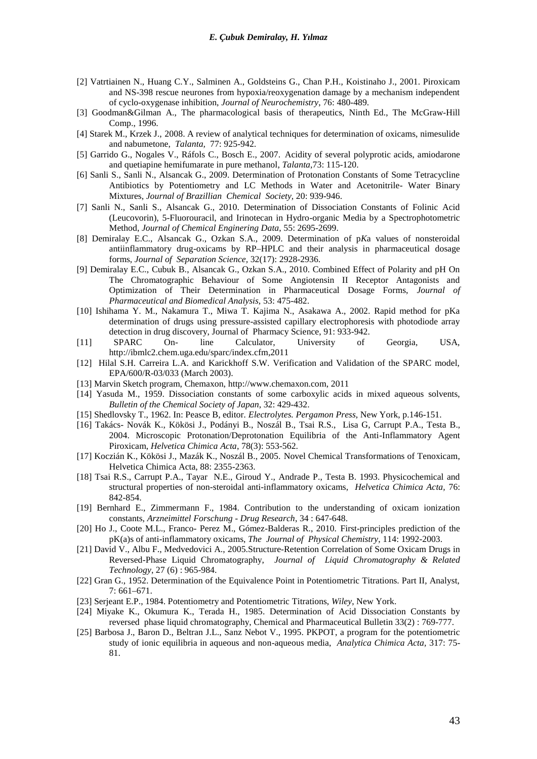- [2] Vatrtiainen N., Huang C.Y., Salminen A., Goldsteins G., Chan P.H., Koistinaho J., 2001. Piroxicam and NS-398 rescue neurones from hypoxia/reoxygenation damage by a mechanism independent of cyclo-oxygenase inhibition, *Journal of Neurochemistry*, 76: 480-489.
- [3] Goodman&Gilman A., The pharmacological basis of therapeutics, Ninth Ed., The McGraw-Hill Comp., 1996.
- [4] Starek M., Krzek J., 2008. A review of analytical techniques for determination of oxicams, nimesulide and nabumetone, *Talanta,* 77: 925-942.
- [5] Garrido G., Nogales V., Ráfols C., Bosch E., 2007. Acidity of several polyprotic acids, amiodarone and quetiapine hemifumarate in pure methanol, *Talanta*,73: 115-120.
- [6] Sanli S., Sanli N., Alsancak G., 2009. Determination of Protonation Constants of Some Tetracycline Antibiotics by Potentiometry and LC Methods in Water and Acetonitrile- Water Binary Mixtures, *Journal of Brazillian Chemical Society,* 20: 939-946.
- [7] Sanli N., Sanli S., Alsancak G., 2010. Determination of Dissociation Constants of Folinic Acid (Leucovorin), 5-Fluorouracil, and Irinotecan in Hydro-organic Media by a Spectrophotometric Method, *Journal of Chemical Enginering Data*, 55: 2695-2699.
- [8] Demiralay E.C., Alsancak G., Ozkan S.A., 2009. Determination of p*K*a values of nonsteroidal antiinflammatory drug-oxicams by RP–HPLC and their analysis in pharmaceutical dosage forms, *Journal of Separation Science,* 32(17): 2928-2936.
- [9] Demiralay E.C., Cubuk B., Alsancak G., Ozkan S.A., 2010. Combined Effect of Polarity and pH On The Chromatographic Behaviour of Some Angiotensin II Receptor Antagonists and Optimization of Their Determination in Pharmaceutical Dosage Forms, *Journal of Pharmaceutical and Biomedical Analysis,* 53: 475-482.
- [10] Ishihama Y. M., Nakamura T., Miwa T. Kajima N., Asakawa A., 2002. Rapid method for pKa determination of drugs using pressure-assisted capillary electrophoresis with photodiode array detection in drug discovery, Journal of Pharmacy Science, 91: 933-942.
- [11] SPARC On- line Calculator, University of Georgia, USA, http://ibmlc2.chem.uga.edu/sparc/index.cfm,2011
- [12] Hilal S.H. Carreira L.A. and Karickhoff S.W. Verification and Validation of the SPARC model, EPA/600/R-03/033 (March 2003).
- [13] Marvin Sketch program, Chemaxon, http://www.chemaxon.com, 2011
- [14] Yasuda M., 1959. Dissociation constants of some carboxylic acids in mixed aqueous solvents, *Bulletin of the Chemical Society of Japan*, 32: 429-432.
- [15] Shedlovsky T., 1962. In: Peasce B, editor*. Electrolytes. Pergamon Press*, New York, p.146-151.
- [16] Takács- Novák K., Kökösi J., Podányi B., Noszál B., Tsai R.S., Lisa G, Carrupt P.A., Testa B., 2004. Microscopic Protonation/Deprotonation Equilibria of the Anti-Inflammatory Agent Piroxicam, *Helvetica Chimica Acta*, 78(3): 553-562.
- [17] Koczián K., Kökösi J., Mazák K., Noszál B., 2005. Novel Chemical Transformations of Tenoxicam, Helvetica Chimica Acta, 88: 2355-2363.
- [18] Tsai R.S., Carrupt P.A., Tayar N.E., Giroud Y., Andrade P., Testa B. 1993. Physicochemical and structural properties of non-steroidal anti-inflammatory oxicams, *Helvetica Chimica Acta,* 76: 842-854.
- [19] Bernhard E., Zimmermann F., 1984. Contribution to the understanding of oxicam ionization constants, *Arzneimittel Forschung - Drug Research*, 34 : 647-648.
- [20] Ho J., Coote M.L., Franco- Perez M., Gómez-Balderas R., 2010. First-principles prediction of the pK(a)s of anti-inflammatory oxicams, *The Journal of Physical Chemistry*, 114: 1992-2003.
- [21] David V., Albu F., Medvedovici A., 2005.Structure-Retention Correlation of Some Oxicam Drugs in Reversed-Phase Liquid Chromatography, *Journal of Liquid Chromatography & Related Technology*, 27 (6) : 965-984.
- [22] Gran G., 1952. Determination of the Equivalence Point in Potentiometric Titrations. Part II, Analyst, 7: 661–671.
- [23] Serjeant E.P., 1984. Potentiometry and Potentiometric Titrations, *Wiley*, New York.
- [24] Miyake K., Okumura K., Terada H., 1985. Determination of Acid Dissociation Constants by reversed phase liquid chromatography, Chemical and Pharmaceutical Bulletin 33(2) : 769-777.
- [25] Barbosa J., Baron D., Beltran J.L., Sanz Nebot V., 1995. PKPOT, a program for the potentiometric study of ionic equilibria in aqueous and non-aqueous media, *Analytica Chimica Acta,* 317: 75- 81.